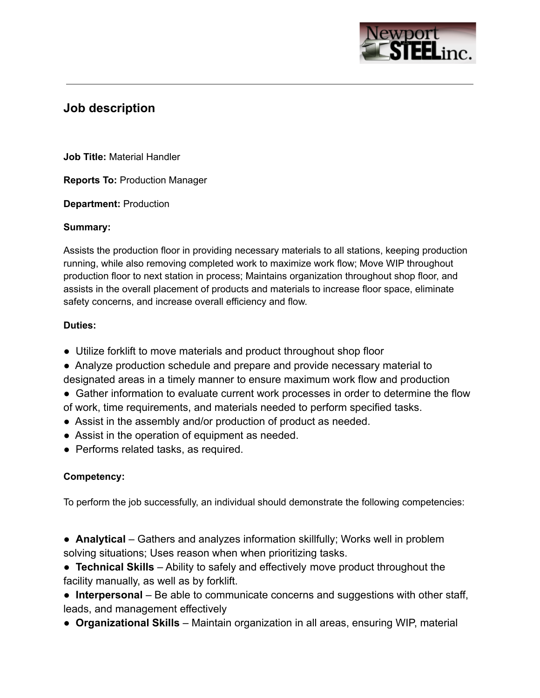

# **Job description**

**Job Title:** Material Handler

**Reports To:** Production Manager

**Department:** Production

#### **Summary:**

Assists the production floor in providing necessary materials to all stations, keeping production running, while also removing completed work to maximize work flow; Move WIP throughout production floor to next station in process; Maintains organization throughout shop floor, and assists in the overall placement of products and materials to increase floor space, eliminate safety concerns, and increase overall efficiency and flow.

#### **Duties:**

- Utilize forklift to move materials and product throughout shop floor
- Analyze production schedule and prepare and provide necessary material to designated areas in a timely manner to ensure maximum work flow and production
- Gather information to evaluate current work processes in order to determine the flow of work, time requirements, and materials needed to perform specified tasks.
- Assist in the assembly and/or production of product as needed.
- Assist in the operation of equipment as needed.
- Performs related tasks, as required.

#### **Competency:**

To perform the job successfully, an individual should demonstrate the following competencies:

- **Analytical** Gathers and analyzes information skillfully; Works well in problem solving situations; Uses reason when when prioritizing tasks.
- **Technical Skills** Ability to safely and effectively move product throughout the facility manually, as well as by forklift.
- **Interpersonal** Be able to communicate concerns and suggestions with other staff, leads, and management effectively
- **Organizational Skills** Maintain organization in all areas, ensuring WIP, material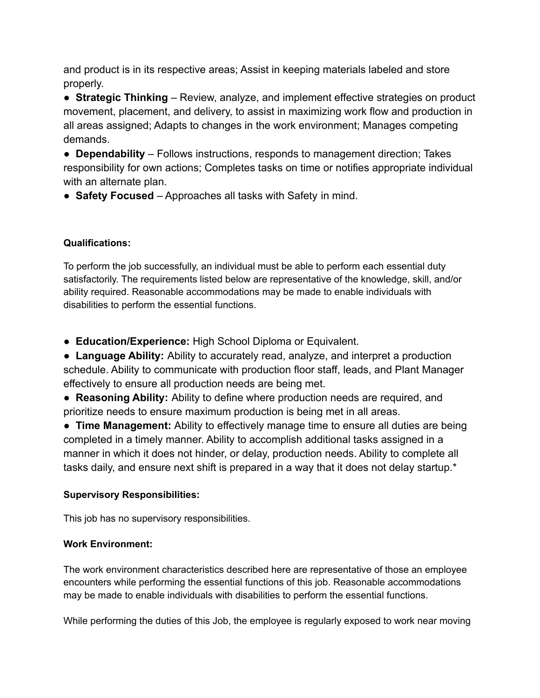and product is in its respective areas; Assist in keeping materials labeled and store properly.

● **Strategic Thinking** – Review, analyze, and implement effective strategies on product movement, placement, and delivery, to assist in maximizing work flow and production in all areas assigned; Adapts to changes in the work environment; Manages competing demands.

● **Dependability** – Follows instructions, responds to management direction; Takes responsibility for own actions; Completes tasks on time or notifies appropriate individual with an alternate plan.

● **Safety Focused** – Approaches all tasks with Safety in mind.

## **Qualifications:**

To perform the job successfully, an individual must be able to perform each essential duty satisfactorily. The requirements listed below are representative of the knowledge, skill, and/or ability required. Reasonable accommodations may be made to enable individuals with disabilities to perform the essential functions.

● **Education/Experience:** High School Diploma or Equivalent.

● **Language Ability:** Ability to accurately read, analyze, and interpret a production schedule. Ability to communicate with production floor staff, leads, and Plant Manager effectively to ensure all production needs are being met.

● **Reasoning Ability:** Ability to define where production needs are required, and prioritize needs to ensure maximum production is being met in all areas.

● **Time Management:** Ability to effectively manage time to ensure all duties are being completed in a timely manner. Ability to accomplish additional tasks assigned in a manner in which it does not hinder, or delay, production needs. Ability to complete all tasks daily, and ensure next shift is prepared in a way that it does not delay startup.\*

## **Supervisory Responsibilities:**

This job has no supervisory responsibilities.

## **Work Environment:**

The work environment characteristics described here are representative of those an employee encounters while performing the essential functions of this job. Reasonable accommodations may be made to enable individuals with disabilities to perform the essential functions.

While performing the duties of this Job, the employee is regularly exposed to work near moving